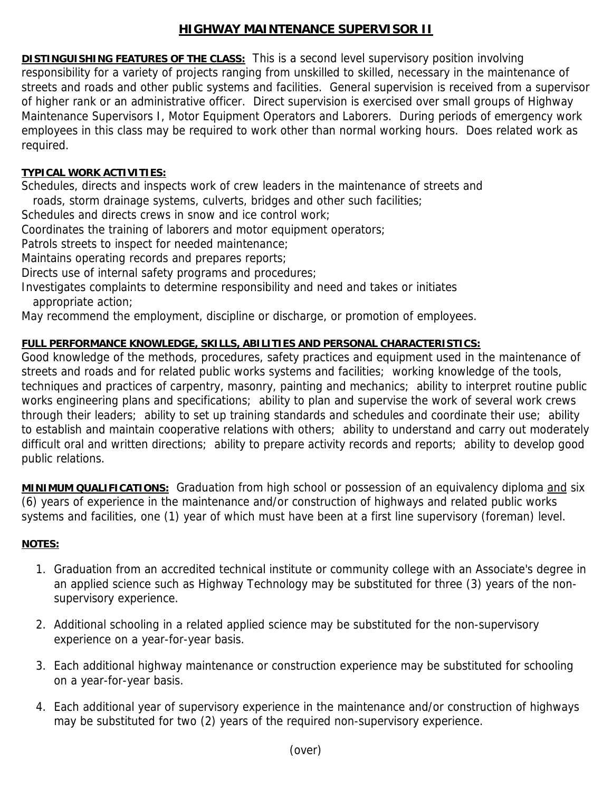## **HIGHWAY MAINTENANCE SUPERVISOR II**

**DISTINGUISHING FEATURES OF THE CLASS:** This is a second level supervisory position involving responsibility for a variety of projects ranging from unskilled to skilled, necessary in the maintenance of streets and roads and other public systems and facilities. General supervision is received from a supervisor of higher rank or an administrative officer. Direct supervision is exercised over small groups of Highway Maintenance Supervisors I, Motor Equipment Operators and Laborers. During periods of emergency work employees in this class may be required to work other than normal working hours. Does related work as required.

## **TYPICAL WORK ACTIVITIES:**

Schedules, directs and inspects work of crew leaders in the maintenance of streets and

roads, storm drainage systems, culverts, bridges and other such facilities;

Schedules and directs crews in snow and ice control work;

Coordinates the training of laborers and motor equipment operators;

Patrols streets to inspect for needed maintenance;

Maintains operating records and prepares reports;

Directs use of internal safety programs and procedures;

Investigates complaints to determine responsibility and need and takes or initiates appropriate action;

May recommend the employment, discipline or discharge, or promotion of employees.

## **FULL PERFORMANCE KNOWLEDGE, SKILLS, ABILITIES AND PERSONAL CHARACTERISTICS:**

Good knowledge of the methods, procedures, safety practices and equipment used in the maintenance of streets and roads and for related public works systems and facilities; working knowledge of the tools, techniques and practices of carpentry, masonry, painting and mechanics; ability to interpret routine public works engineering plans and specifications; ability to plan and supervise the work of several work crews through their leaders; ability to set up training standards and schedules and coordinate their use; ability to establish and maintain cooperative relations with others; ability to understand and carry out moderately difficult oral and written directions; ability to prepare activity records and reports; ability to develop good public relations.

**MINIMUM QUALIFICATIONS:** Graduation from high school or possession of an equivalency diploma and six (6) years of experience in the maintenance and/or construction of highways and related public works systems and facilities, one (1) year of which must have been at a first line supervisory (foreman) level.

## **NOTES:**

- 1. Graduation from an accredited technical institute or community college with an Associate's degree in an applied science such as Highway Technology may be substituted for three (3) years of the nonsupervisory experience.
- 2. Additional schooling in a related applied science may be substituted for the non-supervisory experience on a year-for-year basis.
- 3. Each additional highway maintenance or construction experience may be substituted for schooling on a year-for-year basis.
- 4. Each additional year of supervisory experience in the maintenance and/or construction of highways may be substituted for two (2) years of the required non-supervisory experience.